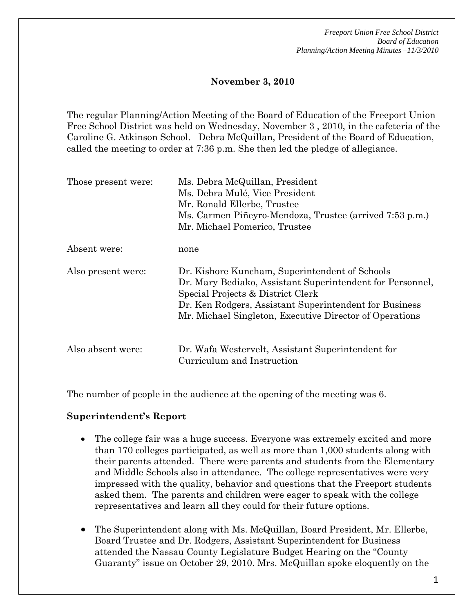*Freeport Union Free School District Board of Education Planning/Action Meeting Minutes –11/3/2010* 

#### **November 3, 2010**

The regular Planning/Action Meeting of the Board of Education of the Freeport Union Free School District was held on Wednesday, November 3 , 2010, in the cafeteria of the Caroline G. Atkinson School. Debra McQuillan, President of the Board of Education, called the meeting to order at 7:36 p.m. She then led the pledge of allegiance.

| Those present were: | Ms. Debra McQuillan, President<br>Ms. Debra Mulé, Vice President<br>Mr. Ronald Ellerbe, Trustee<br>Ms. Carmen Piñeyro-Mendoza, Trustee (arrived 7:53 p.m.)<br>Mr. Michael Pomerico, Trustee                                                                           |
|---------------------|-----------------------------------------------------------------------------------------------------------------------------------------------------------------------------------------------------------------------------------------------------------------------|
| Absent were:        | none                                                                                                                                                                                                                                                                  |
| Also present were:  | Dr. Kishore Kuncham, Superintendent of Schools<br>Dr. Mary Bediako, Assistant Superintendent for Personnel,<br>Special Projects & District Clerk<br>Dr. Ken Rodgers, Assistant Superintendent for Business<br>Mr. Michael Singleton, Executive Director of Operations |
| Also absent were:   | Dr. Wafa Westervelt, Assistant Superintendent for<br>Curriculum and Instruction                                                                                                                                                                                       |

The number of people in the audience at the opening of the meeting was 6.

#### **Superintendent's Report**

- The college fair was a huge success. Everyone was extremely excited and more than 170 colleges participated, as well as more than 1,000 students along with their parents attended. There were parents and students from the Elementary and Middle Schools also in attendance. The college representatives were very impressed with the quality, behavior and questions that the Freeport students asked them. The parents and children were eager to speak with the college representatives and learn all they could for their future options.
- The Superintendent along with Ms. McQuillan, Board President, Mr. Ellerbe, Board Trustee and Dr. Rodgers, Assistant Superintendent for Business attended the Nassau County Legislature Budget Hearing on the "County Guaranty" issue on October 29, 2010. Mrs. McQuillan spoke eloquently on the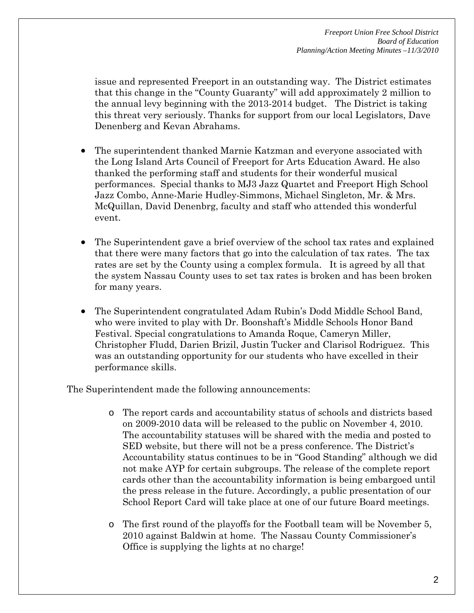issue and represented Freeport in an outstanding way. The District estimates that this change in the "County Guaranty" will add approximately 2 million to the annual levy beginning with the 2013-2014 budget. The District is taking this threat very seriously. Thanks for support from our local Legislators, Dave Denenberg and Kevan Abrahams.

- The superintendent thanked Marnie Katzman and everyone associated with the Long Island Arts Council of Freeport for Arts Education Award. He also thanked the performing staff and students for their wonderful musical performances. Special thanks to MJ3 Jazz Quartet and Freeport High School Jazz Combo, Anne-Marie Hudley-Simmons, Michael Singleton, Mr. & Mrs. McQuillan, David Denenbrg, faculty and staff who attended this wonderful event.
- The Superintendent gave a brief overview of the school tax rates and explained that there were many factors that go into the calculation of tax rates. The tax rates are set by the County using a complex formula. It is agreed by all that the system Nassau County uses to set tax rates is broken and has been broken for many years.
- The Superintendent congratulated Adam Rubin's Dodd Middle School Band, who were invited to play with Dr. Boonshaft's Middle Schools Honor Band Festival. Special congratulations to Amanda Roque, Cameryn Miller, Christopher Fludd, Darien Brizil, Justin Tucker and Clarisol Rodriguez. This was an outstanding opportunity for our students who have excelled in their performance skills.

The Superintendent made the following announcements:

- o The report cards and accountability status of schools and districts based on 2009-2010 data will be released to the public on November 4, 2010. The accountability statuses will be shared with the media and posted to SED website, but there will not be a press conference. The District's Accountability status continues to be in "Good Standing" although we did not make AYP for certain subgroups. The release of the complete report cards other than the accountability information is being embargoed until the press release in the future. Accordingly, a public presentation of our School Report Card will take place at one of our future Board meetings.
- o The first round of the playoffs for the Football team will be November 5, 2010 against Baldwin at home. The Nassau County Commissioner's Office is supplying the lights at no charge!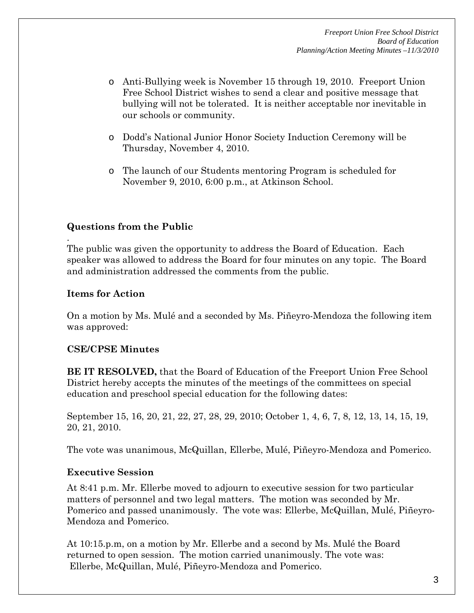- o Anti-Bullying week is November 15 through 19, 2010. Freeport Union Free School District wishes to send a clear and positive message that bullying will not be tolerated. It is neither acceptable nor inevitable in our schools or community.
- o Dodd's National Junior Honor Society Induction Ceremony will be Thursday, November 4, 2010.
- o The launch of our Students mentoring Program is scheduled for November 9, 2010, 6:00 p.m., at Atkinson School.

# **Questions from the Public**

The public was given the opportunity to address the Board of Education. Each speaker was allowed to address the Board for four minutes on any topic. The Board and administration addressed the comments from the public.

# **Items for Action**

.

On a motion by Ms. Mulé and a seconded by Ms. Piñeyro-Mendoza the following item was approved:

# **CSE/CPSE Minutes**

**BE IT RESOLVED,** that the Board of Education of the Freeport Union Free School District hereby accepts the minutes of the meetings of the committees on special education and preschool special education for the following dates:

September 15, 16, 20, 21, 22, 27, 28, 29, 2010; October 1, 4, 6, 7, 8, 12, 13, 14, 15, 19, 20, 21, 2010.

The vote was unanimous, McQuillan, Ellerbe, Mulé, Piñeyro-Mendoza and Pomerico.

# **Executive Session**

At 8:41 p.m. Mr. Ellerbe moved to adjourn to executive session for two particular matters of personnel and two legal matters. The motion was seconded by Mr. Pomerico and passed unanimously. The vote was: Ellerbe, McQuillan, Mulé, Piñeyro-Mendoza and Pomerico.

At 10:15.p.m, on a motion by Mr. Ellerbe and a second by Ms. Mulé the Board returned to open session. The motion carried unanimously. The vote was: Ellerbe, McQuillan, Mulé, Piñeyro-Mendoza and Pomerico.